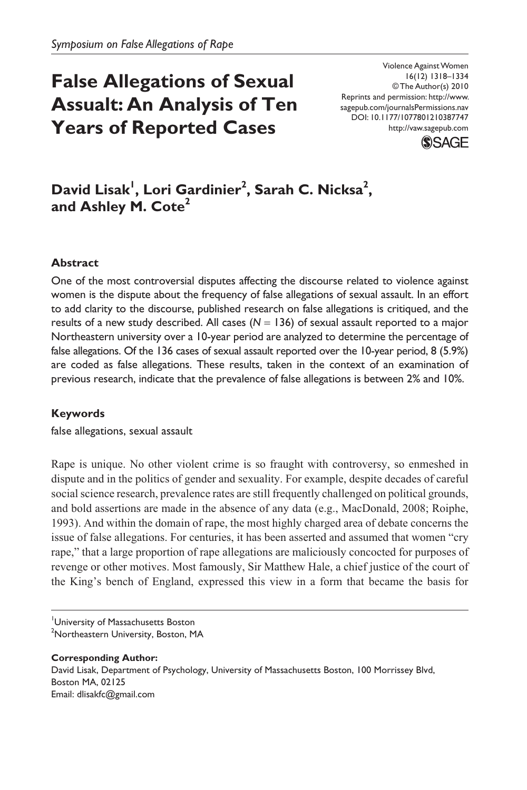# **False Allegations of Sexual Assualt: An Analysis of Ten Years of Reported Cases**

Violence Against Women 16(12) 1318–1334 © The Author(s) 2010 Reprints and permission: http://www. sagepub.com/journalsPermissions.nav DOI: 10.1177/1077801210387747 http://vaw.sagepub.com



David Lisak<sup>1</sup>, Lori Gardinier<sup>2</sup>, Sarah C. Nicksa<sup>2</sup>, **and Ashley M. Cote2**

#### **Abstract**

One of the most controversial disputes affecting the discourse related to violence against women is the dispute about the frequency of false allegations of sexual assault. In an effort to add clarity to the discourse, published research on false allegations is critiqued, and the results of a new study described. All cases (*N* = 136) of sexual assault reported to a major Northeastern university over a 10-year period are analyzed to determine the percentage of false allegations. Of the 136 cases of sexual assault reported over the 10-year period, 8 (5.9%) are coded as false allegations. These results, taken in the context of an examination of previous research, indicate that the prevalence of false allegations is between 2% and 10%.

#### **Keywords**

false allegations, sexual assault

Rape is unique. No other violent crime is so fraught with controversy, so enmeshed in dispute and in the politics of gender and sexuality. For example, despite decades of careful social science research, prevalence rates are still frequently challenged on political grounds, and bold assertions are made in the absence of any data (e.g., MacDonald, 2008; Roiphe, 1993). And within the domain of rape, the most highly charged area of debate concerns the issue of false allegations. For centuries, it has been asserted and assumed that women "cry rape," that a large proportion of rape allegations are maliciously concocted for purposes of revenge or other motives. Most famously, Sir Matthew Hale, a chief justice of the court of the King's bench of England, expressed this view in a form that became the basis for

**Corresponding Author:** David Lisak, Department of Psychology, University of Massachusetts Boston, 100 Morrissey Blvd, Boston MA, 02125 Email: dlisakfc@gmail.com

University of Massachusetts Boston <sup>2</sup>Northeastern University, Boston, MA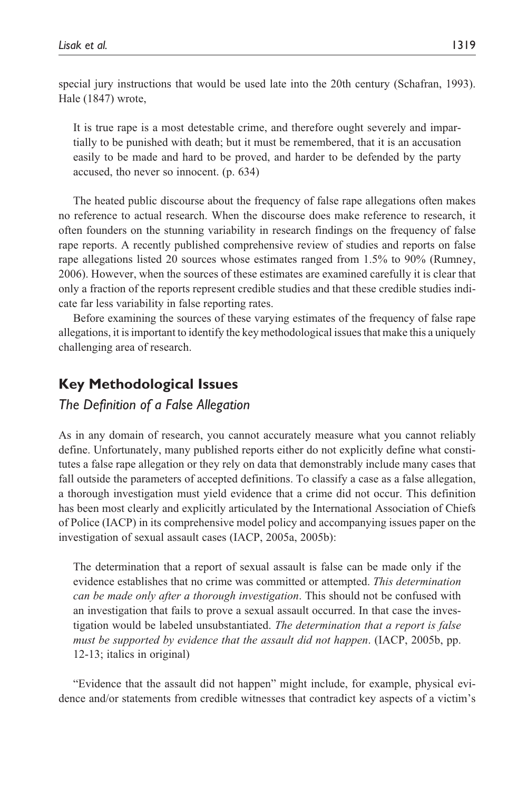special jury instructions that would be used late into the 20th century (Schafran, 1993). Hale (1847) wrote,

It is true rape is a most detestable crime, and therefore ought severely and impartially to be punished with death; but it must be remembered, that it is an accusation easily to be made and hard to be proved, and harder to be defended by the party accused, tho never so innocent. (p. 634)

The heated public discourse about the frequency of false rape allegations often makes no reference to actual research. When the discourse does make reference to research, it often founders on the stunning variability in research findings on the frequency of false rape reports. A recently published comprehensive review of studies and reports on false rape allegations listed 20 sources whose estimates ranged from 1.5% to 90% (Rumney, 2006). However, when the sources of these estimates are examined carefully it is clear that only a fraction of the reports represent credible studies and that these credible studies indicate far less variability in false reporting rates.

Before examining the sources of these varying estimates of the frequency of false rape allegations, it is important to identify the key methodological issues that make this a uniquely challenging area of research.

# **Key Methodological Issues**

#### *The Definition of a False Allegation*

As in any domain of research, you cannot accurately measure what you cannot reliably define. Unfortunately, many published reports either do not explicitly define what constitutes a false rape allegation or they rely on data that demonstrably include many cases that fall outside the parameters of accepted definitions. To classify a case as a false allegation, a thorough investigation must yield evidence that a crime did not occur. This definition has been most clearly and explicitly articulated by the International Association of Chiefs of Police (IACP) in its comprehensive model policy and accompanying issues paper on the investigation of sexual assault cases (IACP, 2005a, 2005b):

The determination that a report of sexual assault is false can be made only if the evidence establishes that no crime was committed or attempted. *This determination can be made only after a thorough investigation*. This should not be confused with an investigation that fails to prove a sexual assault occurred. In that case the investigation would be labeled unsubstantiated. *The determination that a report is false must be supported by evidence that the assault did not happen*. (IACP, 2005b, pp. 12-13; italics in original)

"Evidence that the assault did not happen" might include, for example, physical evidence and/or statements from credible witnesses that contradict key aspects of a victim's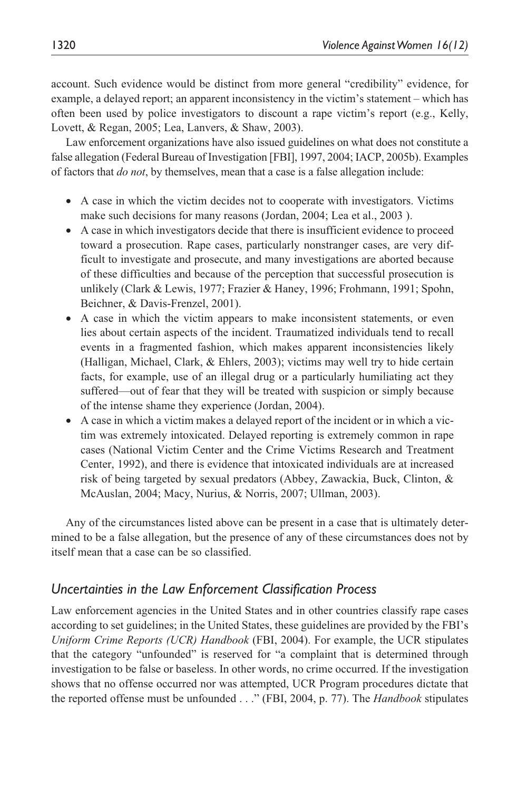account. Such evidence would be distinct from more general "credibility" evidence, for example, a delayed report; an apparent inconsistency in the victim's statement – which has often been used by police investigators to discount a rape victim's report (e.g., Kelly, Lovett, & Regan, 2005; Lea, Lanvers, & Shaw, 2003).

Law enforcement organizations have also issued guidelines on what does not constitute a false allegation (Federal Bureau of Investigation [FBI], 1997, 2004; IACP, 2005b). Examples of factors that *do not*, by themselves, mean that a case is a false allegation include:

- A case in which the victim decides not to cooperate with investigators. Victims make such decisions for many reasons (Jordan, 2004; Lea et al., 2003 ).
- A case in which investigators decide that there is insufficient evidence to proceed toward a prosecution. Rape cases, particularly nonstranger cases, are very difficult to investigate and prosecute, and many investigations are aborted because of these difficulties and because of the perception that successful prosecution is unlikely (Clark & Lewis, 1977; Frazier & Haney, 1996; Frohmann, 1991; Spohn, Beichner, & Davis-Frenzel, 2001).
- A case in which the victim appears to make inconsistent statements, or even lies about certain aspects of the incident. Traumatized individuals tend to recall events in a fragmented fashion, which makes apparent inconsistencies likely (Halligan, Michael, Clark, & Ehlers, 2003); victims may well try to hide certain facts, for example, use of an illegal drug or a particularly humiliating act they suffered—out of fear that they will be treated with suspicion or simply because of the intense shame they experience (Jordan, 2004).
- A case in which a victim makes a delayed report of the incident or in which a victim was extremely intoxicated. Delayed reporting is extremely common in rape cases (National Victim Center and the Crime Victims Research and Treatment Center, 1992), and there is evidence that intoxicated individuals are at increased risk of being targeted by sexual predators (Abbey, Zawackia, Buck, Clinton, & McAuslan, 2004; Macy, Nurius, & Norris, 2007; Ullman, 2003).

Any of the circumstances listed above can be present in a case that is ultimately determined to be a false allegation, but the presence of any of these circumstances does not by itself mean that a case can be so classified.

# *Uncertainties in the Law Enforcement Classification Process*

Law enforcement agencies in the United States and in other countries classify rape cases according to set guidelines; in the United States, these guidelines are provided by the FBI's *Uniform Crime Reports (UCR) Handbook* (FBI, 2004). For example, the UCR stipulates that the category "unfounded" is reserved for "a complaint that is determined through investigation to be false or baseless. In other words, no crime occurred. If the investigation shows that no offense occurred nor was attempted, UCR Program procedures dictate that the reported offense must be unfounded . . ." (FBI, 2004, p. 77). The *Handbook* stipulates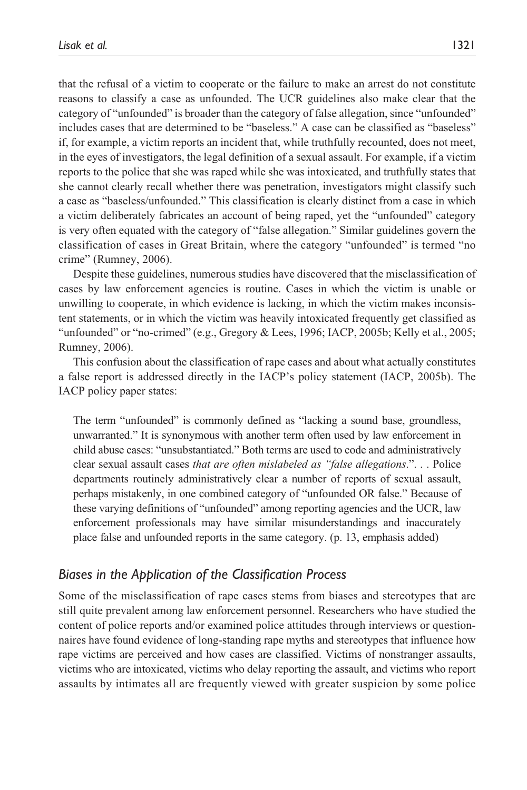that the refusal of a victim to cooperate or the failure to make an arrest do not constitute reasons to classify a case as unfounded. The UCR guidelines also make clear that the category of "unfounded" is broader than the category of false allegation, since "unfounded" includes cases that are determined to be "baseless." A case can be classified as "baseless" if, for example, a victim reports an incident that, while truthfully recounted, does not meet, in the eyes of investigators, the legal definition of a sexual assault. For example, if a victim reports to the police that she was raped while she was intoxicated, and truthfully states that she cannot clearly recall whether there was penetration, investigators might classify such a case as "baseless/unfounded." This classification is clearly distinct from a case in which a victim deliberately fabricates an account of being raped, yet the "unfounded" category is very often equated with the category of "false allegation." Similar guidelines govern the classification of cases in Great Britain, where the category "unfounded" is termed "no crime" (Rumney, 2006).

Despite these guidelines, numerous studies have discovered that the misclassification of cases by law enforcement agencies is routine. Cases in which the victim is unable or unwilling to cooperate, in which evidence is lacking, in which the victim makes inconsistent statements, or in which the victim was heavily intoxicated frequently get classified as "unfounded" or "no-crimed" (e.g., Gregory & Lees, 1996; IACP, 2005b; Kelly et al., 2005; Rumney, 2006).

This confusion about the classification of rape cases and about what actually constitutes a false report is addressed directly in the IACP's policy statement (IACP, 2005b). The IACP policy paper states:

The term "unfounded" is commonly defined as "lacking a sound base, groundless, unwarranted." It is synonymous with another term often used by law enforcement in child abuse cases: "unsubstantiated." Both terms are used to code and administratively clear sexual assault cases *that are often mislabeled as "false allegations*.". . . Police departments routinely administratively clear a number of reports of sexual assault, perhaps mistakenly, in one combined category of "unfounded OR false." Because of these varying definitions of "unfounded" among reporting agencies and the UCR, law enforcement professionals may have similar misunderstandings and inaccurately place false and unfounded reports in the same category. (p. 13, emphasis added)

#### *Biases in the Application of the Classification Process*

Some of the misclassification of rape cases stems from biases and stereotypes that are still quite prevalent among law enforcement personnel. Researchers who have studied the content of police reports and/or examined police attitudes through interviews or questionnaires have found evidence of long-standing rape myths and stereotypes that influence how rape victims are perceived and how cases are classified. Victims of nonstranger assaults, victims who are intoxicated, victims who delay reporting the assault, and victims who report assaults by intimates all are frequently viewed with greater suspicion by some police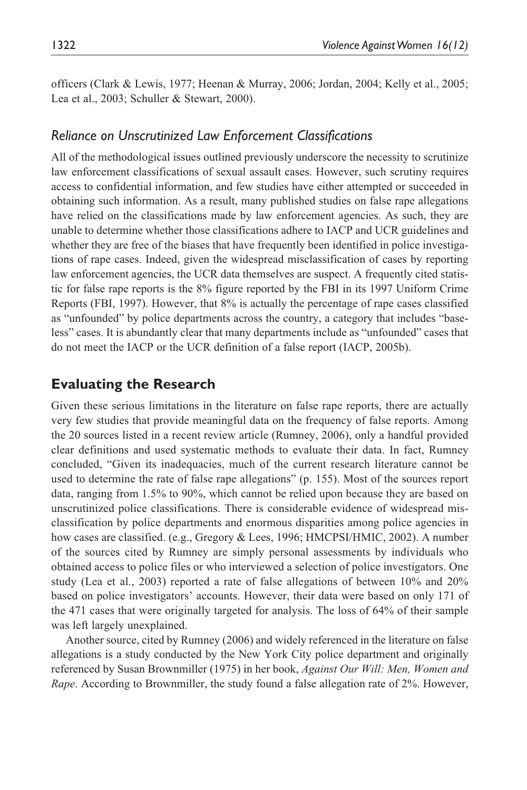officers (Clark & Lewis, 1977; Heenan & Murray, 2006; Jordan, 2004; Kelly et al., 2005; Lea et al., 2003; Schuller & Stewart, 2000).

#### *Reliance on Unscrutinized Law Enforcement Classifications*

All of the methodological issues outlined previously underscore the necessity to scrutinize law enforcement classifications of sexual assault cases. However, such scrutiny requires access to confidential information, and few studies have either attempted or succeeded in obtaining such information. As a result, many published studies on false rape allegations have relied on the classifications made by law enforcement agencies. As such, they are unable to determine whether those classifications adhere to IACP and UCR guidelines and whether they are free of the biases that have frequently been identified in police investigations of rape cases. Indeed, given the widespread misclassification of cases by reporting law enforcement agencies, the UCR data themselves are suspect. A frequently cited statistic for false rape reports is the 8% figure reported by the FBI in its 1997 Uniform Crime Reports (FBI, 1997). However, that 8% is actually the percentage of rape cases classified as "unfounded" by police departments across the country, a category that includes "baseless" cases. It is abundantly clear that many departments include as "unfounded" cases that do not meet the IACP or the UCR definition of a false report (IACP, 2005b).

### **Evaluating the Research**

Given these serious limitations in the literature on false rape reports, there are actually very few studies that provide meaningful data on the frequency of false reports. Among the 20 sources listed in a recent review article (Rumney, 2006), only a handful provided clear definitions and used systematic methods to evaluate their data. In fact, Rumney concluded, "Given its inadequacies, much of the current research literature cannot be used to determine the rate of false rape allegations" (p. 155). Most of the sources report data, ranging from 1.5% to 90%, which cannot be relied upon because they are based on unscrutinized police classifications. There is considerable evidence of widespread misclassification by police departments and enormous disparities among police agencies in how cases are classified. (e.g., Gregory & Lees, 1996; HMCPSI/HMIC, 2002). A number of the sources cited by Rumney are simply personal assessments by individuals who obtained access to police files or who interviewed a selection of police investigators. One study (Lea et al., 2003) reported a rate of false allegations of between 10% and 20% based on police investigators' accounts. However, their data were based on only 171 of the 471 cases that were originally targeted for analysis. The loss of 64% of their sample was left largely unexplained.

Another source, cited by Rumney (2006) and widely referenced in the literature on false allegations is a study conducted by the New York City police department and originally referenced by Susan Brownmiller (1975) in her book, *Against Our Will: Men, Women and Rape*. According to Brownmiller, the study found a false allegation rate of 2%. However,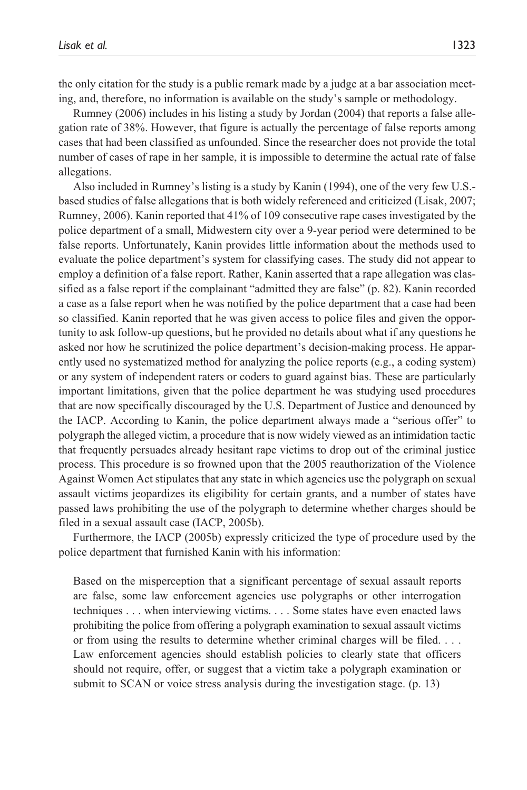the only citation for the study is a public remark made by a judge at a bar association meeting, and, therefore, no information is available on the study's sample or methodology.

Rumney (2006) includes in his listing a study by Jordan (2004) that reports a false allegation rate of 38%. However, that figure is actually the percentage of false reports among cases that had been classified as unfounded. Since the researcher does not provide the total number of cases of rape in her sample, it is impossible to determine the actual rate of false allegations.

Also included in Rumney's listing is a study by Kanin (1994), one of the very few U.S. based studies of false allegations that is both widely referenced and criticized (Lisak, 2007; Rumney, 2006). Kanin reported that 41% of 109 consecutive rape cases investigated by the police department of a small, Midwestern city over a 9-year period were determined to be false reports. Unfortunately, Kanin provides little information about the methods used to evaluate the police department's system for classifying cases. The study did not appear to employ a definition of a false report. Rather, Kanin asserted that a rape allegation was classified as a false report if the complainant "admitted they are false" (p. 82). Kanin recorded a case as a false report when he was notified by the police department that a case had been so classified. Kanin reported that he was given access to police files and given the opportunity to ask follow-up questions, but he provided no details about what if any questions he asked nor how he scrutinized the police department's decision-making process. He apparently used no systematized method for analyzing the police reports (e.g., a coding system) or any system of independent raters or coders to guard against bias. These are particularly important limitations, given that the police department he was studying used procedures that are now specifically discouraged by the U.S. Department of Justice and denounced by the IACP. According to Kanin, the police department always made a "serious offer" to polygraph the alleged victim, a procedure that is now widely viewed as an intimidation tactic that frequently persuades already hesitant rape victims to drop out of the criminal justice process. This procedure is so frowned upon that the 2005 reauthorization of the Violence Against Women Act stipulates that any state in which agencies use the polygraph on sexual assault victims jeopardizes its eligibility for certain grants, and a number of states have passed laws prohibiting the use of the polygraph to determine whether charges should be filed in a sexual assault case (IACP, 2005b).

Furthermore, the IACP (2005b) expressly criticized the type of procedure used by the police department that furnished Kanin with his information:

Based on the misperception that a significant percentage of sexual assault reports are false, some law enforcement agencies use polygraphs or other interrogation techniques . . . when interviewing victims. . . . Some states have even enacted laws prohibiting the police from offering a polygraph examination to sexual assault victims or from using the results to determine whether criminal charges will be filed. . . . Law enforcement agencies should establish policies to clearly state that officers should not require, offer, or suggest that a victim take a polygraph examination or submit to SCAN or voice stress analysis during the investigation stage. (p. 13)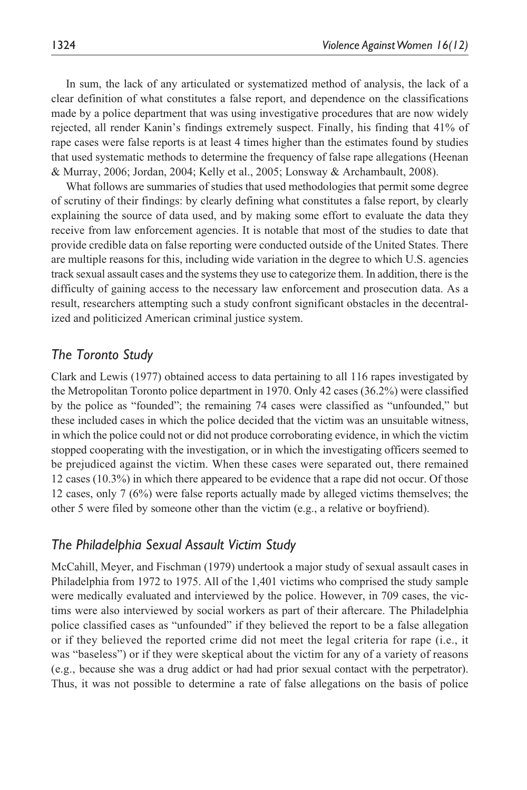In sum, the lack of any articulated or systematized method of analysis, the lack of a clear definition of what constitutes a false report, and dependence on the classifications made by a police department that was using investigative procedures that are now widely rejected, all render Kanin's findings extremely suspect. Finally, his finding that 41% of rape cases were false reports is at least 4 times higher than the estimates found by studies that used systematic methods to determine the frequency of false rape allegations (Heenan & Murray, 2006; Jordan, 2004; Kelly et al., 2005; Lonsway & Archambault, 2008).

What follows are summaries of studies that used methodologies that permit some degree of scrutiny of their findings: by clearly defining what constitutes a false report, by clearly explaining the source of data used, and by making some effort to evaluate the data they receive from law enforcement agencies. It is notable that most of the studies to date that provide credible data on false reporting were conducted outside of the United States. There are multiple reasons for this, including wide variation in the degree to which U.S. agencies track sexual assault cases and the systems they use to categorize them. In addition, there is the difficulty of gaining access to the necessary law enforcement and prosecution data. As a result, researchers attempting such a study confront significant obstacles in the decentralized and politicized American criminal justice system.

### *The Toronto Study*

Clark and Lewis (1977) obtained access to data pertaining to all 116 rapes investigated by the Metropolitan Toronto police department in 1970. Only 42 cases (36.2%) were classified by the police as "founded"; the remaining 74 cases were classified as "unfounded," but these included cases in which the police decided that the victim was an unsuitable witness, in which the police could not or did not produce corroborating evidence, in which the victim stopped cooperating with the investigation, or in which the investigating officers seemed to be prejudiced against the victim. When these cases were separated out, there remained 12 cases (10.3%) in which there appeared to be evidence that a rape did not occur. Of those 12 cases, only 7 (6%) were false reports actually made by alleged victims themselves; the other 5 were filed by someone other than the victim (e.g., a relative or boyfriend).

#### *The Philadelphia Sexual Assault Victim Study*

McCahill, Meyer, and Fischman (1979) undertook a major study of sexual assault cases in Philadelphia from 1972 to 1975. All of the 1,401 victims who comprised the study sample were medically evaluated and interviewed by the police. However, in 709 cases, the victims were also interviewed by social workers as part of their aftercare. The Philadelphia police classified cases as "unfounded" if they believed the report to be a false allegation or if they believed the reported crime did not meet the legal criteria for rape (i.e., it was "baseless") or if they were skeptical about the victim for any of a variety of reasons (e.g., because she was a drug addict or had had prior sexual contact with the perpetrator). Thus, it was not possible to determine a rate of false allegations on the basis of police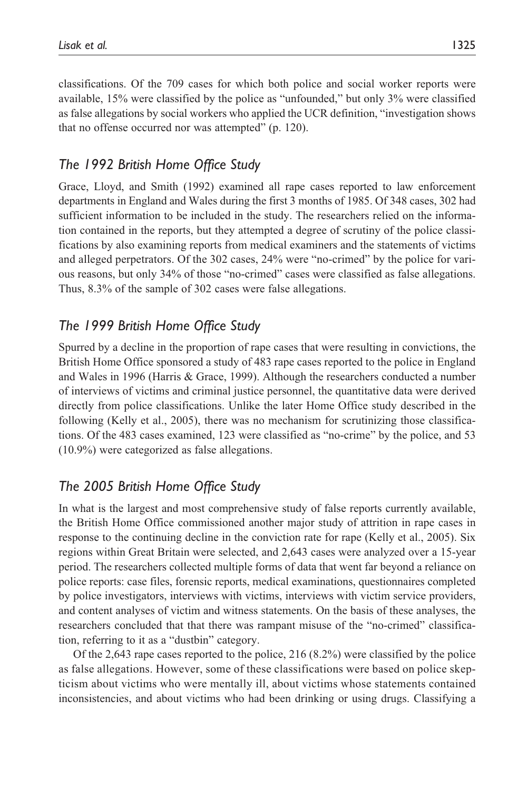classifications. Of the 709 cases for which both police and social worker reports were available, 15% were classified by the police as "unfounded," but only 3% were classified as false allegations by social workers who applied the UCR definition, "investigation shows that no offense occurred nor was attempted" (p. 120).

# *The 1992 British Home Office Study*

Grace, Lloyd, and Smith (1992) examined all rape cases reported to law enforcement departments in England and Wales during the first 3 months of 1985. Of 348 cases, 302 had sufficient information to be included in the study. The researchers relied on the information contained in the reports, but they attempted a degree of scrutiny of the police classifications by also examining reports from medical examiners and the statements of victims and alleged perpetrators. Of the 302 cases, 24% were "no-crimed" by the police for various reasons, but only 34% of those "no-crimed" cases were classified as false allegations. Thus, 8.3% of the sample of 302 cases were false allegations.

# *The 1999 British Home Office Study*

Spurred by a decline in the proportion of rape cases that were resulting in convictions, the British Home Office sponsored a study of 483 rape cases reported to the police in England and Wales in 1996 (Harris & Grace, 1999). Although the researchers conducted a number of interviews of victims and criminal justice personnel, the quantitative data were derived directly from police classifications. Unlike the later Home Office study described in the following (Kelly et al., 2005), there was no mechanism for scrutinizing those classifications. Of the 483 cases examined, 123 were classified as "no-crime" by the police, and 53 (10.9%) were categorized as false allegations.

# *The 2005 British Home Office Study*

In what is the largest and most comprehensive study of false reports currently available, the British Home Office commissioned another major study of attrition in rape cases in response to the continuing decline in the conviction rate for rape (Kelly et al., 2005). Six regions within Great Britain were selected, and 2,643 cases were analyzed over a 15-year period. The researchers collected multiple forms of data that went far beyond a reliance on police reports: case files, forensic reports, medical examinations, questionnaires completed by police investigators, interviews with victims, interviews with victim service providers, and content analyses of victim and witness statements. On the basis of these analyses, the researchers concluded that that there was rampant misuse of the "no-crimed" classification, referring to it as a "dustbin" category.

Of the 2,643 rape cases reported to the police, 216 (8.2%) were classified by the police as false allegations. However, some of these classifications were based on police skepticism about victims who were mentally ill, about victims whose statements contained inconsistencies, and about victims who had been drinking or using drugs. Classifying a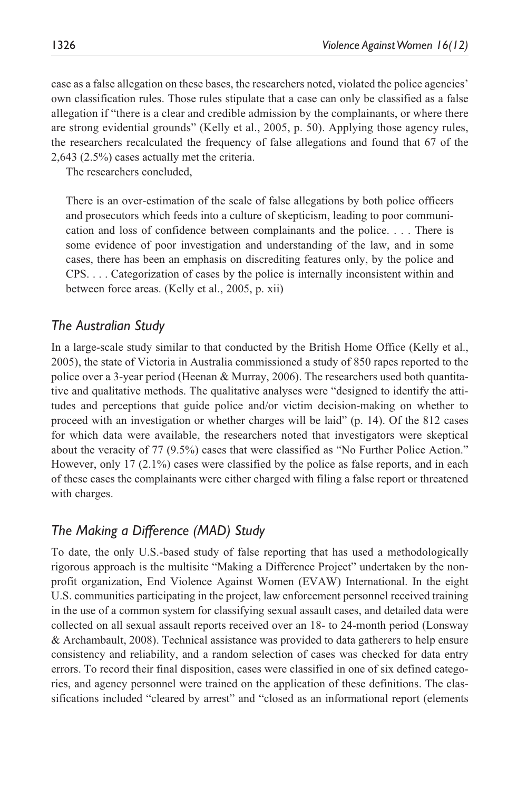case as a false allegation on these bases, the researchers noted, violated the police agencies' own classification rules. Those rules stipulate that a case can only be classified as a false allegation if "there is a clear and credible admission by the complainants, or where there are strong evidential grounds" (Kelly et al., 2005, p. 50). Applying those agency rules, the researchers recalculated the frequency of false allegations and found that 67 of the 2,643 (2.5%) cases actually met the criteria.

The researchers concluded,

There is an over-estimation of the scale of false allegations by both police officers and prosecutors which feeds into a culture of skepticism, leading to poor communication and loss of confidence between complainants and the police. . . . There is some evidence of poor investigation and understanding of the law, and in some cases, there has been an emphasis on discrediting features only, by the police and CPS. . . . Categorization of cases by the police is internally inconsistent within and between force areas. (Kelly et al., 2005, p. xii)

# *The Australian Study*

In a large-scale study similar to that conducted by the British Home Office (Kelly et al., 2005), the state of Victoria in Australia commissioned a study of 850 rapes reported to the police over a 3-year period (Heenan  $&$  Murray, 2006). The researchers used both quantitative and qualitative methods. The qualitative analyses were "designed to identify the attitudes and perceptions that guide police and/or victim decision-making on whether to proceed with an investigation or whether charges will be laid" (p. 14). Of the 812 cases for which data were available, the researchers noted that investigators were skeptical about the veracity of 77 (9.5%) cases that were classified as "No Further Police Action." However, only 17 (2.1%) cases were classified by the police as false reports, and in each of these cases the complainants were either charged with filing a false report or threatened with charges.

# *The Making a Difference (MAD) Study*

To date, the only U.S.-based study of false reporting that has used a methodologically rigorous approach is the multisite "Making a Difference Project" undertaken by the nonprofit organization, End Violence Against Women (EVAW) International. In the eight U.S. communities participating in the project, law enforcement personnel received training in the use of a common system for classifying sexual assault cases, and detailed data were collected on all sexual assault reports received over an 18- to 24-month period (Lonsway & Archambault, 2008). Technical assistance was provided to data gatherers to help ensure consistency and reliability, and a random selection of cases was checked for data entry errors. To record their final disposition, cases were classified in one of six defined categories, and agency personnel were trained on the application of these definitions. The classifications included "cleared by arrest" and "closed as an informational report (elements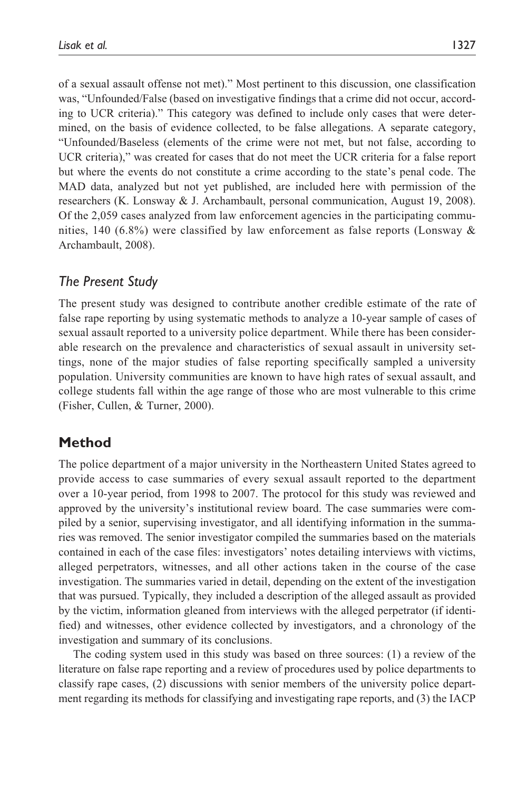of a sexual assault offense not met)." Most pertinent to this discussion, one classification was, "Unfounded/False (based on investigative findings that a crime did not occur, according to UCR criteria)." This category was defined to include only cases that were determined, on the basis of evidence collected, to be false allegations. A separate category, "Unfounded/Baseless (elements of the crime were not met, but not false, according to UCR criteria)," was created for cases that do not meet the UCR criteria for a false report but where the events do not constitute a crime according to the state's penal code. The MAD data, analyzed but not yet published, are included here with permission of the researchers (K. Lonsway & J. Archambault, personal communication, August 19, 2008). Of the 2,059 cases analyzed from law enforcement agencies in the participating communities, 140 (6.8%) were classified by law enforcement as false reports (Lonsway & Archambault, 2008).

### *The Present Study*

The present study was designed to contribute another credible estimate of the rate of false rape reporting by using systematic methods to analyze a 10-year sample of cases of sexual assault reported to a university police department. While there has been considerable research on the prevalence and characteristics of sexual assault in university settings, none of the major studies of false reporting specifically sampled a university population. University communities are known to have high rates of sexual assault, and college students fall within the age range of those who are most vulnerable to this crime (Fisher, Cullen, & Turner, 2000).

# **Method**

The police department of a major university in the Northeastern United States agreed to provide access to case summaries of every sexual assault reported to the department over a 10-year period, from 1998 to 2007. The protocol for this study was reviewed and approved by the university's institutional review board. The case summaries were compiled by a senior, supervising investigator, and all identifying information in the summaries was removed. The senior investigator compiled the summaries based on the materials contained in each of the case files: investigators' notes detailing interviews with victims, alleged perpetrators, witnesses, and all other actions taken in the course of the case investigation. The summaries varied in detail, depending on the extent of the investigation that was pursued. Typically, they included a description of the alleged assault as provided by the victim, information gleaned from interviews with the alleged perpetrator (if identified) and witnesses, other evidence collected by investigators, and a chronology of the investigation and summary of its conclusions.

The coding system used in this study was based on three sources: (1) a review of the literature on false rape reporting and a review of procedures used by police departments to classify rape cases, (2) discussions with senior members of the university police department regarding its methods for classifying and investigating rape reports, and (3) the IACP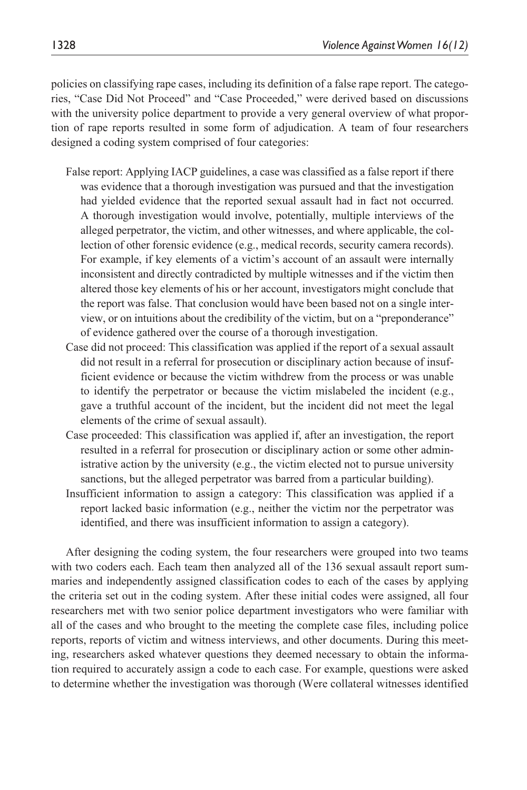policies on classifying rape cases, including its definition of a false rape report. The categories, "Case Did Not Proceed" and "Case Proceeded," were derived based on discussions with the university police department to provide a very general overview of what proportion of rape reports resulted in some form of adjudication. A team of four researchers designed a coding system comprised of four categories:

- False report: Applying IACP guidelines, a case was classified as a false report if there was evidence that a thorough investigation was pursued and that the investigation had yielded evidence that the reported sexual assault had in fact not occurred. A thorough investigation would involve, potentially, multiple interviews of the alleged perpetrator, the victim, and other witnesses, and where applicable, the collection of other forensic evidence (e.g., medical records, security camera records). For example, if key elements of a victim's account of an assault were internally inconsistent and directly contradicted by multiple witnesses and if the victim then altered those key elements of his or her account, investigators might conclude that the report was false. That conclusion would have been based not on a single interview, or on intuitions about the credibility of the victim, but on a "preponderance" of evidence gathered over the course of a thorough investigation.
- Case did not proceed: This classification was applied if the report of a sexual assault did not result in a referral for prosecution or disciplinary action because of insufficient evidence or because the victim withdrew from the process or was unable to identify the perpetrator or because the victim mislabeled the incident (e.g., gave a truthful account of the incident, but the incident did not meet the legal elements of the crime of sexual assault).
- Case proceeded: This classification was applied if, after an investigation, the report resulted in a referral for prosecution or disciplinary action or some other administrative action by the university (e.g., the victim elected not to pursue university sanctions, but the alleged perpetrator was barred from a particular building).
- Insufficient information to assign a category: This classification was applied if a report lacked basic information (e.g., neither the victim nor the perpetrator was identified, and there was insufficient information to assign a category).

After designing the coding system, the four researchers were grouped into two teams with two coders each. Each team then analyzed all of the 136 sexual assault report summaries and independently assigned classification codes to each of the cases by applying the criteria set out in the coding system. After these initial codes were assigned, all four researchers met with two senior police department investigators who were familiar with all of the cases and who brought to the meeting the complete case files, including police reports, reports of victim and witness interviews, and other documents. During this meeting, researchers asked whatever questions they deemed necessary to obtain the information required to accurately assign a code to each case. For example, questions were asked to determine whether the investigation was thorough (Were collateral witnesses identified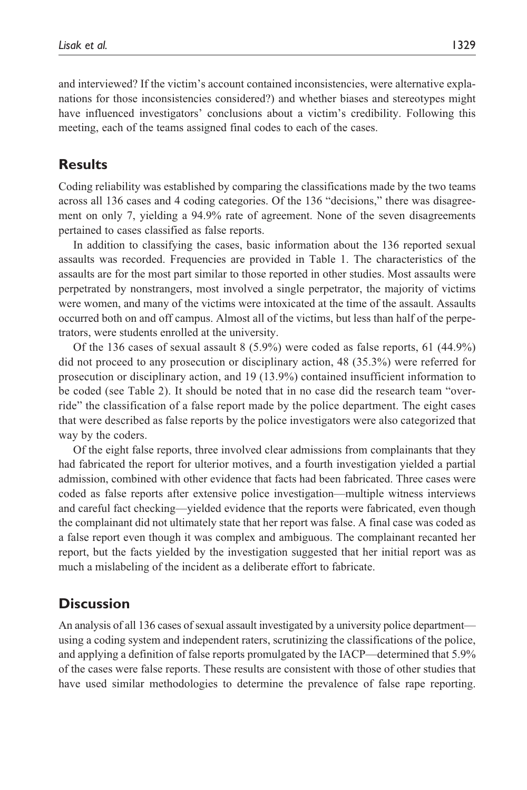and interviewed? If the victim's account contained inconsistencies, were alternative explanations for those inconsistencies considered?) and whether biases and stereotypes might have influenced investigators' conclusions about a victim's credibility. Following this meeting, each of the teams assigned final codes to each of the cases.

# **Results**

Coding reliability was established by comparing the classifications made by the two teams across all 136 cases and 4 coding categories. Of the 136 "decisions," there was disagreement on only 7, yielding a 94.9% rate of agreement. None of the seven disagreements pertained to cases classified as false reports.

In addition to classifying the cases, basic information about the 136 reported sexual assaults was recorded. Frequencies are provided in Table 1. The characteristics of the assaults are for the most part similar to those reported in other studies. Most assaults were perpetrated by nonstrangers, most involved a single perpetrator, the majority of victims were women, and many of the victims were intoxicated at the time of the assault. Assaults occurred both on and off campus. Almost all of the victims, but less than half of the perpetrators, were students enrolled at the university.

Of the 136 cases of sexual assault 8 (5.9%) were coded as false reports, 61 (44.9%) did not proceed to any prosecution or disciplinary action, 48 (35.3%) were referred for prosecution or disciplinary action, and 19 (13.9%) contained insufficient information to be coded (see Table 2). It should be noted that in no case did the research team "override" the classification of a false report made by the police department. The eight cases that were described as false reports by the police investigators were also categorized that way by the coders.

Of the eight false reports, three involved clear admissions from complainants that they had fabricated the report for ulterior motives, and a fourth investigation yielded a partial admission, combined with other evidence that facts had been fabricated. Three cases were coded as false reports after extensive police investigation—multiple witness interviews and careful fact checking—yielded evidence that the reports were fabricated, even though the complainant did not ultimately state that her report was false. A final case was coded as a false report even though it was complex and ambiguous. The complainant recanted her report, but the facts yielded by the investigation suggested that her initial report was as much a mislabeling of the incident as a deliberate effort to fabricate.

# **Discussion**

An analysis of all 136 cases of sexual assault investigated by a university police department using a coding system and independent raters, scrutinizing the classifications of the police, and applying a definition of false reports promulgated by the IACP—determined that 5.9% of the cases were false reports. These results are consistent with those of other studies that have used similar methodologies to determine the prevalence of false rape reporting.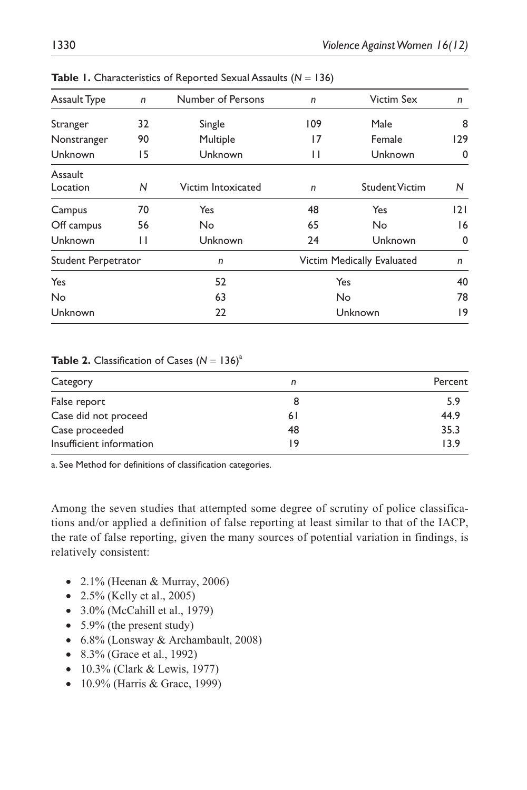|                     |    | Number of Persons  |                            | <b>Victim Sex</b>     |     |
|---------------------|----|--------------------|----------------------------|-----------------------|-----|
| <b>Assault Type</b> | n  |                    | n                          |                       | n   |
| Stranger            | 32 | Single             | 109                        | Male                  | 8   |
| Nonstranger         | 90 | Multiple           | 17                         | Female                | 129 |
| Unknown             | 15 | Unknown            | $\mathsf{I}$               | Unknown               | 0   |
| Assault             |    |                    |                            |                       |     |
| Location            | N  | Victim Intoxicated | n                          | <b>Student Victim</b> | N   |
| Campus              | 70 | Yes                | 48                         | Yes                   | 2   |
| Off campus          | 56 | No                 | 65                         | <b>No</b>             | 16  |
| Unknown             | П  | Unknown            | 24                         | Unknown               | 0   |
| Student Perpetrator |    | n                  | Victim Medically Evaluated |                       | n   |
| Yes                 |    | 52                 |                            | Yes                   | 40  |
| No                  |    | 63                 | No                         |                       | 78  |
| Unknown             |    | 22                 | Unknown                    |                       | 19  |

**Table 1.** Characteristics of Reported Sexual Assaults (*N* = 136)

#### **Table 2.** Classification of Cases  $(N = 136)^{a}$

| Category                 |     | Percent |  |
|--------------------------|-----|---------|--|
| False report             |     | 5.9     |  |
| Case did not proceed     | 6 I | 44.9    |  |
| Case proceeded           | 48  | 35.3    |  |
| Insufficient information | 19  | 13.9    |  |

a. See Method for definitions of classification categories.

Among the seven studies that attempted some degree of scrutiny of police classifications and/or applied a definition of false reporting at least similar to that of the IACP, the rate of false reporting, given the many sources of potential variation in findings, is relatively consistent:

- 2.1% (Heenan & Murray, 2006)
- 2.5% (Kelly et al., 2005)
- 3.0% (McCahill et al., 1979)
- 5.9% (the present study)
- 6.8% (Lonsway & Archambault, 2008)
- 8.3% (Grace et al., 1992)
- 10.3% (Clark & Lewis, 1977)
- 10.9% (Harris & Grace, 1999)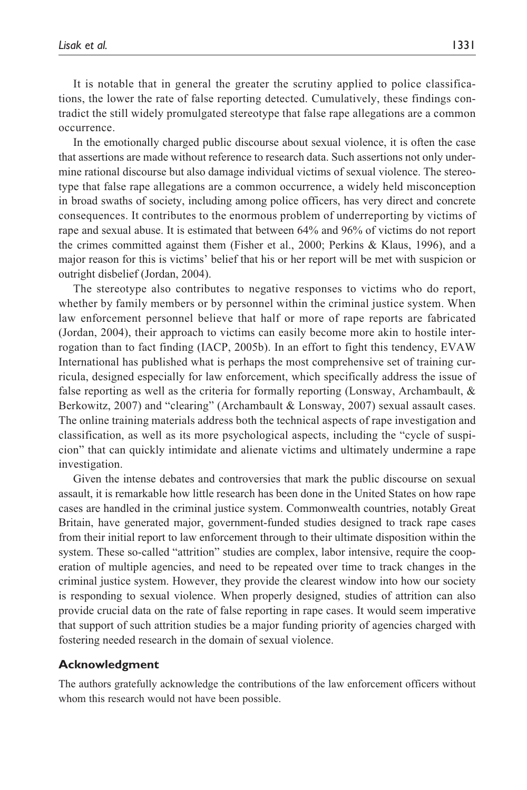It is notable that in general the greater the scrutiny applied to police classifications, the lower the rate of false reporting detected. Cumulatively, these findings contradict the still widely promulgated stereotype that false rape allegations are a common occurrence.

In the emotionally charged public discourse about sexual violence, it is often the case that assertions are made without reference to research data. Such assertions not only undermine rational discourse but also damage individual victims of sexual violence. The stereotype that false rape allegations are a common occurrence, a widely held misconception in broad swaths of society, including among police officers, has very direct and concrete consequences. It contributes to the enormous problem of underreporting by victims of rape and sexual abuse. It is estimated that between 64% and 96% of victims do not report the crimes committed against them (Fisher et al., 2000; Perkins & Klaus, 1996), and a major reason for this is victims' belief that his or her report will be met with suspicion or outright disbelief (Jordan, 2004).

The stereotype also contributes to negative responses to victims who do report, whether by family members or by personnel within the criminal justice system. When law enforcement personnel believe that half or more of rape reports are fabricated (Jordan, 2004), their approach to victims can easily become more akin to hostile interrogation than to fact finding (IACP, 2005b). In an effort to fight this tendency, EVAW International has published what is perhaps the most comprehensive set of training curricula, designed especially for law enforcement, which specifically address the issue of false reporting as well as the criteria for formally reporting (Lonsway, Archambault, & Berkowitz, 2007) and "clearing" (Archambault & Lonsway, 2007) sexual assault cases. The online training materials address both the technical aspects of rape investigation and classification, as well as its more psychological aspects, including the "cycle of suspicion" that can quickly intimidate and alienate victims and ultimately undermine a rape investigation.

Given the intense debates and controversies that mark the public discourse on sexual assault, it is remarkable how little research has been done in the United States on how rape cases are handled in the criminal justice system. Commonwealth countries, notably Great Britain, have generated major, government-funded studies designed to track rape cases from their initial report to law enforcement through to their ultimate disposition within the system. These so-called "attrition" studies are complex, labor intensive, require the cooperation of multiple agencies, and need to be repeated over time to track changes in the criminal justice system. However, they provide the clearest window into how our society is responding to sexual violence. When properly designed, studies of attrition can also provide crucial data on the rate of false reporting in rape cases. It would seem imperative that support of such attrition studies be a major funding priority of agencies charged with fostering needed research in the domain of sexual violence.

#### **Acknowledgment**

The authors gratefully acknowledge the contributions of the law enforcement officers without whom this research would not have been possible.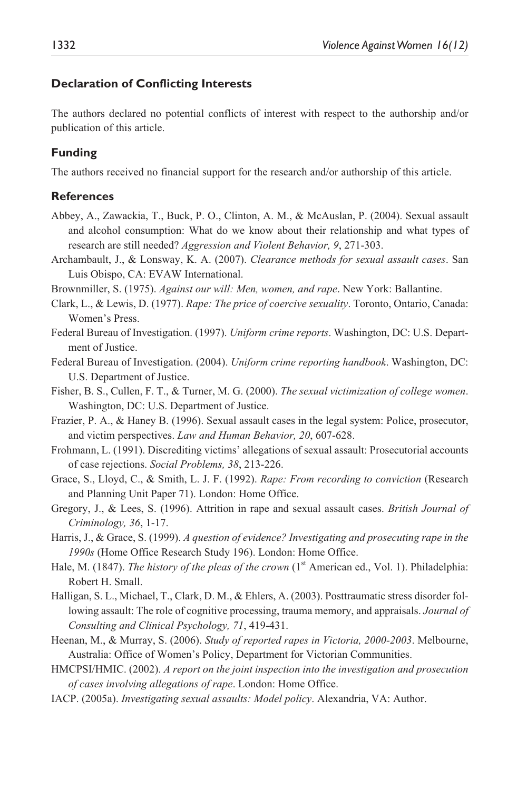#### **Declaration of Conflicting Interests**

The authors declared no potential conflicts of interest with respect to the authorship and/or publication of this article.

#### **Funding**

The authors received no financial support for the research and/or authorship of this article.

#### **References**

- Abbey, A., Zawackia, T., Buck, P. O., Clinton, A. M., & McAuslan, P. (2004). Sexual assault and alcohol consumption: What do we know about their relationship and what types of research are still needed? *Aggression and Violent Behavior, 9*, 271-303.
- Archambault, J., & Lonsway, K. A. (2007). *Clearance methods for sexual assault cases*. San Luis Obispo, CA: EVAW International.

Brownmiller, S. (1975). *Against our will: Men, women, and rape*. New York: Ballantine.

- Clark, L., & Lewis, D. (1977). *Rape: The price of coercive sexuality*. Toronto, Ontario, Canada: Women's Press.
- Federal Bureau of Investigation. (1997). *Uniform crime reports*. Washington, DC: U.S. Department of Justice.
- Federal Bureau of Investigation. (2004). *Uniform crime reporting handbook*. Washington, DC: U.S. Department of Justice.
- Fisher, B. S., Cullen, F. T., & Turner, M. G. (2000). *The sexual victimization of college women*. Washington, DC: U.S. Department of Justice.
- Frazier, P. A., & Haney B. (1996). Sexual assault cases in the legal system: Police, prosecutor, and victim perspectives. *Law and Human Behavior, 20*, 607-628.
- Frohmann, L. (1991). Discrediting victims' allegations of sexual assault: Prosecutorial accounts of case rejections. *Social Problems, 38*, 213-226.
- Grace, S., Lloyd, C., & Smith, L. J. F. (1992). *Rape: From recording to conviction* (Research and Planning Unit Paper 71). London: Home Office.
- Gregory, J., & Lees, S. (1996). Attrition in rape and sexual assault cases. *British Journal of Criminology, 36*, 1-17.
- Harris, J., & Grace, S. (1999). *A question of evidence? Investigating and prosecuting rape in the 1990s* (Home Office Research Study 196). London: Home Office.
- Hale, M. (1847). *The history of the pleas of the crown* (1<sup>st</sup> American ed., Vol. 1). Philadelphia: Robert H. Small.
- Halligan, S. L., Michael, T., Clark, D. M., & Ehlers, A. (2003). Posttraumatic stress disorder following assault: The role of cognitive processing, trauma memory, and appraisals. *Journal of Consulting and Clinical Psychology, 71*, 419-431.
- Heenan, M., & Murray, S. (2006). *Study of reported rapes in Victoria, 2000-2003*. Melbourne, Australia: Office of Women's Policy, Department for Victorian Communities.
- HMCPSI/HMIC. (2002). *A report on the joint inspection into the investigation and prosecution of cases involving allegations of rape*. London: Home Office.
- IACP. (2005a). *Investigating sexual assaults: Model policy*. Alexandria, VA: Author.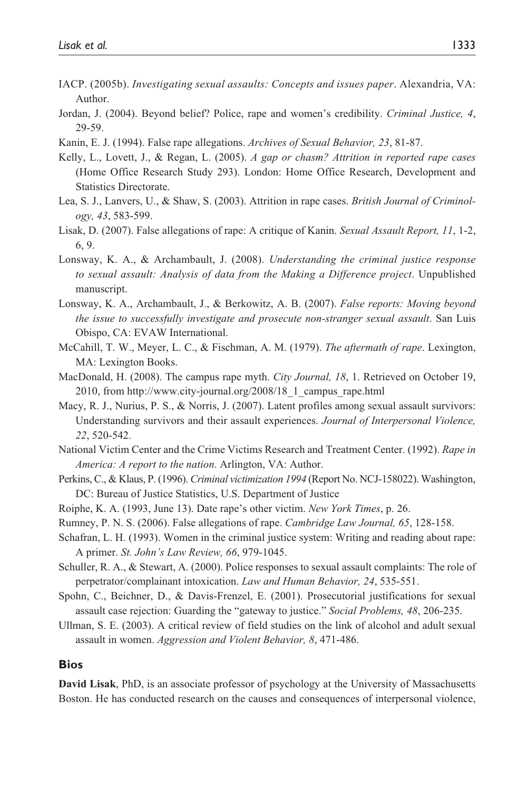- IACP. (2005b). *Investigating sexual assaults: Concepts and issues paper*. Alexandria, VA: Author.
- Jordan, J. (2004). Beyond belief? Police, rape and women's credibility. *Criminal Justice, 4*, 29-59.
- Kanin, E. J. (1994). False rape allegations. *Archives of Sexual Behavior, 23*, 81-87.
- Kelly, L., Lovett, J., & Regan, L. (2005). *A gap or chasm? Attrition in reported rape cases* (Home Office Research Study 293). London: Home Office Research, Development and Statistics Directorate.
- Lea, S. J., Lanvers, U., & Shaw, S. (2003). Attrition in rape cases. *British Journal of Criminology, 43*, 583-599.
- Lisak, D. (2007). False allegations of rape: A critique of Kanin. *Sexual Assault Report, 11*, 1-2, 6, 9.
- Lonsway, K. A., & Archambault, J. (2008). *Understanding the criminal justice response to sexual assault: Analysis of data from the Making a Difference project*. Unpublished manuscript.
- Lonsway, K. A., Archambault, J., & Berkowitz, A. B. (2007). *False reports: Moving beyond the issue to successfully investigate and prosecute non-stranger sexual assault*. San Luis Obispo, CA: EVAW International.
- McCahill, T. W., Meyer, L. C., & Fischman, A. M. (1979). *The aftermath of rape*. Lexington, MA: Lexington Books.
- MacDonald, H. (2008). The campus rape myth. *City Journal, 18*, 1. Retrieved on October 19, 2010, from http://www.city-journal.org/2008/18\_1\_campus\_rape.html
- Macy, R. J., Nurius, P. S., & Norris, J. (2007). Latent profiles among sexual assault survivors: Understanding survivors and their assault experiences. *Journal of Interpersonal Violence, 22*, 520-542.
- National Victim Center and the Crime Victims Research and Treatment Center. (1992). *Rape in America: A report to the nation*. Arlington, VA: Author.
- Perkins, C., & Klaus, P. (1996). *Criminal victimization 1994* (Report No. NCJ-158022). Washington, DC: Bureau of Justice Statistics, U.S. Department of Justice
- Roiphe, K. A. (1993, June 13). Date rape's other victim. *New York Times*, p. 26.
- Rumney, P. N. S. (2006). False allegations of rape. *Cambridge Law Journal, 65*, 128-158.
- Schafran, L. H. (1993). Women in the criminal justice system: Writing and reading about rape: A primer. *St. John's Law Review, 66*, 979-1045.
- Schuller, R. A., & Stewart, A. (2000). Police responses to sexual assault complaints: The role of perpetrator/complainant intoxication. *Law and Human Behavior, 24*, 535-551.
- Spohn, C., Beichner, D., & Davis-Frenzel, E. (2001). Prosecutorial justifications for sexual assault case rejection: Guarding the "gateway to justice." *Social Problems, 48*, 206-235.
- Ullman, S. E. (2003). A critical review of field studies on the link of alcohol and adult sexual assault in women. *Aggression and Violent Behavior, 8*, 471-486.

#### **Bios**

**David Lisak**, PhD, is an associate professor of psychology at the University of Massachusetts Boston. He has conducted research on the causes and consequences of interpersonal violence,